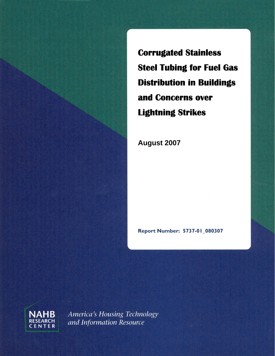**Corrugated Stainless Steel Tubing for Fuel Gas Distribution in Buildings and Concerns over Lightning Strikes** 

**August 2007** 

**Report Number: 5737-01\_080307** 



America's Housing Technology and Information Resource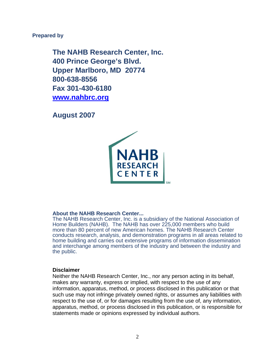#### **Prepared by**

**The NAHB Research Center, Inc. 400 Prince George's Blvd. Upper Marlboro, MD 20774 800-638-8556 Fax 301-430-6180 [www.nahbrc.org](http://www.nahbrc.org/)**

**August 2007** 



#### **About the NAHB Research Center...**

The NAHB Research Center, Inc. is a subsidiary of the National Association of Home Builders (NAHB). The NAHB has over 225,000 members who build more than 80 percent of new American homes. The NAHB Research Center conducts research, analysis, and demonstration programs in all areas related to home building and carries out extensive programs of information dissemination and interchange among members of the industry and between the industry and the public.

#### **Disclaimer**

Neither the NAHB Research Center, Inc., nor any person acting in its behalf, makes any warranty, express or implied, with respect to the use of any information, apparatus, method, or process disclosed in this publication or that such use may not infringe privately owned rights, or assumes any liabilities with respect to the use of, or for damages resulting from the use of, any information, apparatus, method, or process disclosed in this publication, or is responsible for statements made or opinions expressed by individual authors.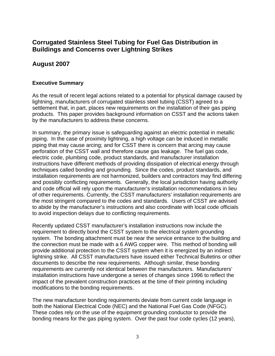# **Corrugated Stainless Steel Tubing for Fuel Gas Distribution in Buildings and Concerns over Lightning Strikes**

# **August 2007**

### **Executive Summary**

As the result of recent legal actions related to a potential for physical damage caused by lightning, manufacturers of corrugated stainless steel tubing (CSST) agreed to a settlement that, in part, places new requirements on the installation of their gas piping products. This paper provides background information on CSST and the actions taken by the manufacturers to address these concerns.

In summary, the primary issue is safeguarding against an electric potential in metallic piping. In the case of proximity lightning, a high voltage can be induced in metallic piping that may cause arcing; and for CSST there is concern that arcing may cause perforation of the CSST wall and therefore cause gas leakage. The fuel gas code, electric code, plumbing code, product standards, and manufacturer installation instructions have different methods of providing dissipation of electrical energy through techniques called bonding and grounding. Since the codes, product standards, and installation requirements are not harmonized, builders and contractors may find differing and possibly conflicting requirements. Generally, the local jurisdiction having authority and code official will rely upon the manufacturer's installation recommendations in lieu of other requirements. Currently, the CSST manufacturers' installation requirements are the most stringent compared to the codes and standards. Users of CSST are advised to abide by the manufacturer's instructions and also coordinate with local code officials to avoid inspection delays due to conflicting requirements.

Recently updated CSST manufacturer's installation instructions now include the requirement to directly bond the CSST system to the electrical system grounding system. The bonding attachment must be near the service entrance to the building and the connection must be made with a 6 AWG copper wire. This method of bonding will provide additional protection to the CSST system when it is energized by an indirect lightning strike. All CSST manufacturers have issued either Technical Bulletins or other documents to describe the new requirements. Although similar, these bonding requirements are currently not identical between the manufacturers. Manufacturers' installation instructions have undergone a series of changes since 1996 to reflect the impact of the prevalent construction practices at the time of their printing including modifications to the bonding requirements.

The new manufacturer bonding requirements deviate from current code language in both the National Electrical Code (NEC) and the National Fuel Gas Code (NFGC). These codes rely on the use of the equipment grounding conductor to provide the bonding means for the gas piping system. Over the past four code cycles (12 years),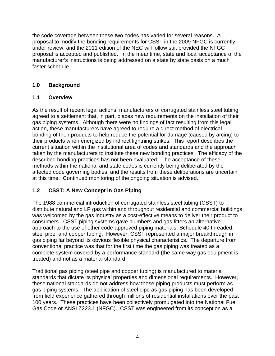the code coverage between these two codes has varied for several reasons. A proposal to modify the bonding requirements for CSST in the 2009 NFGC is currently under review, and the 2011 edition of the NEC will follow suit provided the NFGC proposal is accepted and published. In the meantime, state and local acceptance of the manufacturer's instructions is being addressed on a state by state basis on a much faster schedule.

## **1.0 Background**

## **1.1 Overview**

As the result of recent legal actions, manufacturers of corrugated stainless steel tubing agreed to a settlement that, in part, places new requirements on the installation of their gas piping systems. Although there were no findings of fact resulting from this legal action, these manufacturers have agreed to require a direct method of electrical bonding of their products to help reduce the potential for damage (caused by arcing) to their products when energized by indirect lightning strikes. This report describes the current situation within the institutional area of codes and standards and the approach taken by the manufacturers to institute these new bonding practices. The efficacy of the described bonding practices has not been evaluated. The acceptance of these methods within the national and state codes is currently being deliberated by the affected code governing bodies, and the results from these deliberations are uncertain at this time. Continued monitoring of the ongoing situation is advised.

## **1.2 CSST: A New Concept in Gas Piping**

The 1988 commercial introduction of corrugated stainless steel tubing (CSST) to distribute natural and LP gas within and throughout residential and commercial buildings was welcomed by the gas industry as a cost-effective means to deliver their product to consumers. CSST piping systems gave plumbers and gas fitters an alternative approach to the use of other code-approved piping materials: Schedule 40 threaded, steel pipe, and copper tubing. However, CSST represented a major breakthrough in gas piping far beyond its obvious flexible physical characteristics. The departure from conventional practice was that for the first time the gas piping was treated as a complete system covered by a performance standard (the same way gas equipment is treated) and not as a material standard.

Traditional gas piping (steel pipe and copper tubing) is manufactured to material standards that dictate its physical properties and dimensional requirements. However, these national standards do not address how these piping products must perform as gas piping systems. The application of steel pipe as gas piping has been developed from field experience gathered through millions of residential installations over the past 100 years. These practices have been collectively promulgated into the National Fuel Gas Code or ANSI Z223.1 (NFGC). CSST was engineered from its conception as a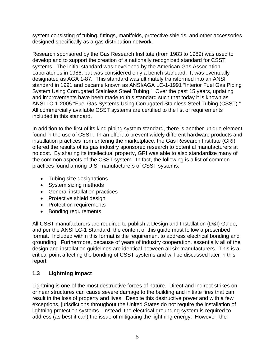system consisting of tubing, fittings, manifolds, protective shields, and other accessories designed specifically as a gas distribution network.

Research sponsored by the Gas Research Institute (from 1983 to 1989) was used to develop and to support the creation of a nationally recognized standard for CSST systems. The initial standard was developed by the American Gas Association Laboratories in 1986, but was considered only a bench standard. It was eventually designated as AGA 1-87. This standard was ultimately transformed into an ANSI standard in 1991 and became known as ANSI/AGA LC-1-1991 "Interior Fuel Gas Piping System Using Corrugated Stainless Steel Tubing." Over the past 15 years, updating and improvements have been made to this standard such that today it is known as ANSI LC-1-2005 "Fuel Gas Systems Using Corrugated Stainless Steel Tubing (CSST)." All commercially available CSST systems are certified to the list of requirements included in this standard.

In addition to the first of its kind piping system standard, there is another unique element found in the use of CSST. In an effort to prevent widely different hardware products and installation practices from entering the marketplace, the Gas Research Institute (GRI) offered the results of its gas industry sponsored research to potential manufacturers at no cost. By sharing its intellectual property, GRI was able to also standardize many of the common aspects of the CSST system. In fact, the following is a list of common practices found among U.S. manufacturers of CSST systems:

- Tubing size designations
- System sizing methods
- General installation practices
- Protective shield design
- Protection requirements
- Bonding requirements

All CSST manufacturers are required to publish a Design and Installation (D&I) Guide, and per the ANSI LC-1 Standard, the content of this guide must follow a prescribed format. Included within this format is the requirement to address electrical bonding and grounding. Furthermore, because of years of industry cooperation, essentially all of the design and installation guidelines are identical between all six manufacturers. This is a critical point affecting the bonding of CSST systems and will be discussed later in this report

## **1.3 Lightning Impact**

Lightning is one of the most destructive forces of nature. Direct and indirect strikes on or near structures can cause severe damage to the building and initiate fires that can result in the loss of property and lives. Despite this destructive power and with a few exceptions, jurisdictions throughout the United States do not require the installation of lightning protection systems. Instead, the electrical grounding system is required to address (as best it can) the issue of mitigating the lightning energy. However, the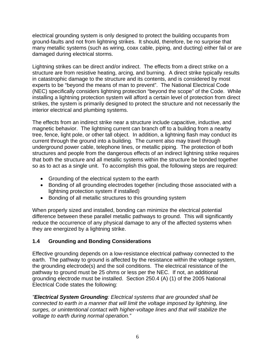electrical grounding system is only designed to protect the building occupants from ground-faults and not from lightning strikes. It should, therefore, be no surprise that many metallic systems (such as wiring, coax cable, piping, and ducting) either fail or are damaged during electrical storms.

Lightning strikes can be direct and/or indirect. The effects from a direct strike on a structure are from resistive heating, arcing, and burning. A direct strike typically results in catastrophic damage to the structure and its contents, and is considered by most experts to be "beyond the means of man to prevent". The National Electrical Code (NEC) specifically considers lightning protection "beyond the scope" of the Code. While installing a lightning protection system will afford a certain level of protection from direct strikes, the system is primarily designed to protect the structure and not necessarily the interior electrical and plumbing systems.

The effects from an indirect strike near a structure include capacitive, inductive, and magnetic behavior. The lightning current can branch off to a building from a nearby tree, fence, light pole, or other tall object. In addition, a lightning flash may conduct its current through the ground into a building. The current also may travel through underground power cable, telephone lines, or metallic piping. The protection of both structures and people from the dangerous effects of an indirect lightning strike requires that both the structure and all metallic systems within the structure be bonded together so as to act as a single unit. To accomplish this goal, the following steps are required:

- Grounding of the electrical system to the earth
- Bonding of all grounding electrodes together (including those associated with a lightning protection system if installed)
- Bonding of all metallic structures to this grounding system

When properly sized and installed, bonding can minimize the electrical potential difference between these parallel metallic pathways to ground. This will significantly reduce the occurrence of any physical damage to any of the affected systems when they are energized by a lightning strike.

### **1.4 Grounding and Bonding Considerations**

Effective grounding depends on a low-resistance electrical pathway connected to the earth. The pathway to ground is affected by the resistance within the voltage system, the grounding electrode(s) and the soil conditions. The electrical resistance of the pathway to ground must be 25 ohms or less per the NEC. If not, an additional grounding electrode must be installed. Section 250.4 (A) (1) of the 2005 National Electrical Code states the following:

*"Electrical System Grounding: Electrical systems that are grounded shall be connected to earth in a manner that will limit the voltage imposed by lightning, line surges, or unintentional contact with higher-voltage lines and that will stabilize the voltage to earth during normal operation."*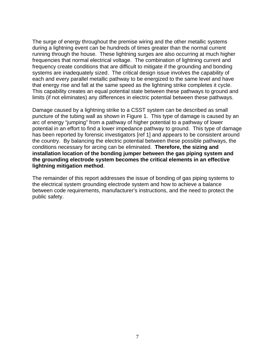The surge of energy throughout the premise wiring and the other metallic systems during a lightning event can be hundreds of times greater than the normal current running through the house. These lightning surges are also occurring at much higher frequencies that normal electrical voltage. The combination of lightning current and frequency create conditions that are difficult to mitigate if the grounding and bonding systems are inadequately sized. The critical design issue involves the capability of each and every parallel metallic pathway to be energized to the same level and have that energy rise and fall at the same speed as the lightning strike completes it cycle. This capability creates an equal potential state between these pathways to ground and limits (if not eliminates) any differences in electric potential between these pathways.

Damage caused by a lightning strike to a CSST system can be described as small puncture of the tubing wall as shown in Figure 1. This type of damage is caused by an arc of energy "jumping" from a pathway of higher potential to a pathway of lower potential in an effort to find a lower impedance pathway to ground. This type of damage has been reported by forensic investigators [ref 1] and appears to be consistent around the country. By balancing the electric potential between these possible pathways, the conditions necessary for arcing can be eliminated. **Therefore, the sizing and installation location of the bonding jumper between the gas piping system and the grounding electrode system becomes the critical elements in an effective lightning mitigation method**.

The remainder of this report addresses the issue of bonding of gas piping systems to the electrical system grounding electrode system and how to achieve a balance between code requirements, manufacturer's instructions, and the need to protect the public safety.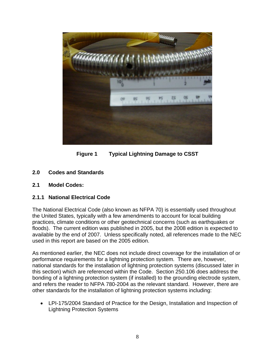

**Figure 1 Typical Lightning Damage to CSST** 

- **2.0 Codes and Standards**
- **2.1 Model Codes:**

### **2.1.1 National Electrical Code**

The National Electrical Code (also known as NFPA 70) is essentially used throughout the United States, typically with a few amendments to account for local building practices, climate conditions or other geotechnical concerns (such as earthquakes or floods). The current edition was published in 2005, but the 2008 edition is expected to available by the end of 2007. Unless specifically noted, all references made to the NEC used in this report are based on the 2005 edition.

As mentioned earlier, the NEC does not include direct coverage for the installation of or performance requirements for a lightning protection system. There are, however, national standards for the installation of lightning protection systems (discussed later in this section) which are referenced within the Code. Section 250.106 does address the bonding of a lightning protection system (if installed) to the grounding electrode system, and refers the reader to NFPA 780-2004 as the relevant standard. However, there are other standards for the installation of lightning protection systems including:

• LPI-175/2004 Standard of Practice for the Design, Installation and Inspection of Lightning Protection Systems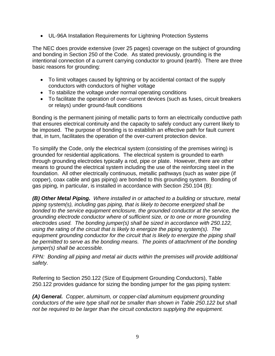• UL-96A Installation Requirements for Lightning Protection Systems

The NEC does provide extensive (over 25 pages) coverage on the subject of grounding and bonding in Section 250 of the Code. As stated previously, grounding is the intentional connection of a current carrying conductor to ground (earth). There are three basic reasons for grounding:

- To limit voltages caused by lightning or by accidental contact of the supply conductors with conductors of higher voltage
- To stabilize the voltage under normal operating conditions
- To facilitate the operation of over-current devices (such as fuses, circuit breakers or relays) under ground-fault conditions

Bonding is the permanent joining of metallic parts to form an electrically conductive path that ensures electrical continuity and the capacity to safely conduct any current likely to be imposed. The purpose of bonding is to establish an effective path for fault current that, in turn, facilitates the operation of the over-current protection device.

To simplify the Code, only the electrical system (consisting of the premises wiring) is grounded for residential applications. The electrical system is grounded to earth through grounding electrodes typically a rod, pipe or plate. However, there are other means to ground the electrical system including the use of the reinforcing steel in the foundation. All other electrically continuous, metallic pathways (such as water pipe (if copper), coax cable and gas piping) are bonded to this grounding system. Bonding of gas piping, in particular, is installed in accordance with Section 250.104 (B):

*(B) Other Metal Piping. Where installed in or attached to a building or structure, metal piping system(s), including gas piping, that is likely to become energized shall be bonded to the service equipment enclosure, the grounded conductor at the service, the grounding electrode conductor where of sufficient size, or to one or more grounding electrodes used. The bonding jumper(s) shall be sized in accordance with 250.122, using the rating of the circuit that is likely to energize the piping system(s). The equipment grounding conductor for the circuit that is likely to energize the piping shall be permitted to serve as the bonding means. The points of attachment of the bonding jumper(s) shall be accessible.* 

*FPN: Bonding all piping and metal air ducts within the premises will provide additional safety.* 

Referring to Section 250.122 (Size of Equipment Grounding Conductors), Table 250.122 provides guidance for sizing the bonding jumper for the gas piping system:

*(A) General. Copper, aluminum, or copper-clad aluminum equipment grounding conductors of the wire type shall not be smaller than shown in Table 250.122 but shall not be required to be larger than the circuit conductors supplying the equipment.*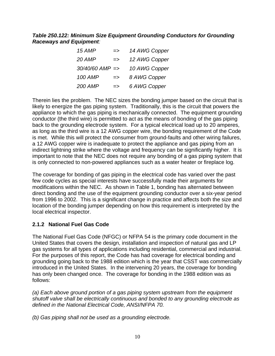### *Table 250.122: Minimum Size Equipment Grounding Conductors for Grounding Raceways and Equipment:*

| 15 AMP               | $\Rightarrow$ | 14 AWG Copper |
|----------------------|---------------|---------------|
| 20 AMP               | $\Rightarrow$ | 12 AWG Copper |
| $30/40/60$ AMP $=$ > |               | 10 AWG Copper |
| <b>100 AMP</b>       | $\Rightarrow$ | 8 AWG Copper  |
| <b>200 AMP</b>       | $\Rightarrow$ | 6 AWG Copper  |

Therein lies the problem. The NEC sizes the bonding jumper based on the circuit that is likely to energize the gas piping system. Traditionally, this is the circuit that powers the appliance to which the gas piping is mechanically connected. The equipment grounding conductor (the third wire) is permitted to act as the means of bonding of the gas piping back to the grounding electrode system. For a typical electrical load up to 20 amperes, as long as the third wire is a 12 AWG copper wire, the bonding requirement of the Code is met. While this will protect the consumer from ground-faults and other wiring failures, a 12 AWG copper wire is inadequate to protect the appliance and gas piping from an indirect lightning strike where the voltage and frequency can be significantly higher. It is important to note that the NEC does not require any bonding of a gas piping system that is only connected to non-powered appliances such as a water heater or fireplace log.

The coverage for bonding of gas piping in the electrical code has varied over the past few code cycles as special interests have successfully made their arguments for modifications within the NEC. As shown in Table 1, bonding has alternated between direct bonding and the use of the equipment grounding conductor over a six-year period from 1996 to 2002. This is a significant change in practice and affects both the size and location of the bonding jumper depending on how this requirement is interpreted by the local electrical inspector.

## **2.1.2 National Fuel Gas Code**

The National Fuel Gas Code (NFGC) or NFPA 54 is the primary code document in the United States that covers the design, installation and inspection of natural gas and LP gas systems for all types of applications including residential, commercial and industrial. For the purposes of this report, the Code has had coverage for electrical bonding and grounding going back to the 1988 edition which is the year that CSST was commercially introduced in the United States. In the intervening 20 years, the coverage for bonding has only been changed once. The coverage for bonding in the 1988 edition was as follows:

*(a) Each above ground portion of a gas piping system upstream from the equipment shutoff valve shall be electrically continuous and bonded to any grounding electrode as defined in the National Electrical Code, ANSI/NFPA 70.* 

*(b) Gas piping shall not be used as a grounding electrode.*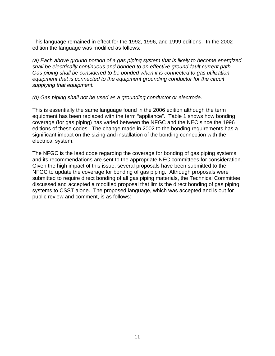This language remained in effect for the 1992, 1996, and 1999 editions. In the 2002 edition the language was modified as follows:

*(a) Each above ground portion of a gas piping system that is likely to become energized shall be electrically continuous and bonded to an effective ground-fault current path. Gas piping shall be considered to be bonded when it is connected to gas utilization equipment that is connected to the equipment grounding conductor for the circuit supplying that equipment.* 

*(b) Gas piping shall not be used as a grounding conductor or electrode.* 

This is essentially the same language found in the 2006 edition although the term equipment has been replaced with the term "appliance". Table 1 shows how bonding coverage (for gas piping) has varied between the NFGC and the NEC since the 1996 editions of these codes. The change made in 2002 to the bonding requirements has a significant impact on the sizing and installation of the bonding connection with the electrical system.

The NFGC is the lead code regarding the coverage for bonding of gas piping systems and its recommendations are sent to the appropriate NEC committees for consideration. Given the high impact of this issue, several proposals have been submitted to the NFGC to update the coverage for bonding of gas piping. Although proposals were submitted to require direct bonding of all gas piping materials, the Technical Committee discussed and accepted a modified proposal that limits the direct bonding of gas piping systems to CSST alone. The proposed language, which was accepted and is out for public review and comment, is as follows: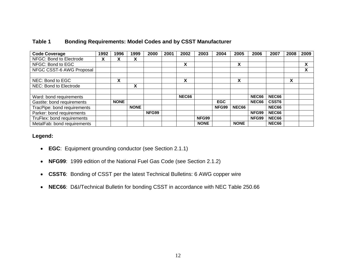| <b>Code Coverage</b>        | 1992 | 1996        | 1999        | 2000  | 2001 | 2002         | 2003        | 2004       | 2005        | 2006         | 2007              | 2008 | 2009 |
|-----------------------------|------|-------------|-------------|-------|------|--------------|-------------|------------|-------------|--------------|-------------------|------|------|
| NFGC: Bond to Electrode     | x    | x           | X           |       |      |              |             |            |             |              |                   |      |      |
| NFGC: Bond to EGC           |      |             |             |       |      | X            |             |            | X           |              |                   |      | X    |
| NFGC CSST-6 AWG Proposal    |      |             |             |       |      |              |             |            |             |              |                   |      | X    |
|                             |      |             |             |       |      |              |             |            |             |              |                   |      |      |
| NEC: Bond to EGC            |      | X           |             |       |      | X            |             |            | X           |              |                   | X    |      |
| NEC: Bond to Electrode      |      |             | X           |       |      |              |             |            |             |              |                   |      |      |
|                             |      |             |             |       |      |              |             |            |             |              |                   |      |      |
| Ward: bond requirements     |      |             |             |       |      | <b>NEC66</b> |             |            |             | <b>NEC66</b> | NEC66             |      |      |
| Gastite: bond requirements  |      | <b>NONE</b> |             |       |      |              |             | <b>EGC</b> |             | <b>NEC66</b> | CSST <sub>6</sub> |      |      |
| TracPipe: bond requirements |      |             | <b>NONE</b> |       |      |              |             | NFG99      | NEC66       |              | NEC66             |      |      |
| Parker: bond requirements   |      |             |             | NFG99 |      |              |             |            |             | NFG99        | NEC66             |      |      |
| TruFlex: bond requirements  |      |             |             |       |      |              | NFG99       |            |             | NFG99        | NEC66             |      |      |
| MetalFab: bond requirements |      |             |             |       |      |              | <b>NONE</b> |            | <b>NONE</b> |              | NEC66             |      |      |

### **Table 1 Bonding Requirements: Model Codes and by CSST Manufacturer**

#### **Legend:**

- **EGC**: Equipment grounding conductor (see Section 2.1.1)
- $\bullet$ **NFG99**: 1999 edition of the National Fuel Gas Code (see Section 2.1.2)
- $\bullet$ **CSST6**: Bonding of CSST per the latest Technical Bulletins: 6 AWG copper wire
- $\bullet$ **NEC66**: D&I/Technical Bulletin for bonding CSST in accordance with NEC Table 250.66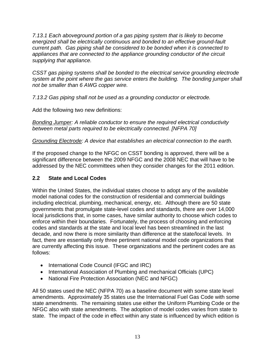*7.13.1 Each aboveground portion of a gas piping system that is likely to become energized shall be electrically continuous and bonded to an effective ground-fault current path. Gas piping shall be considered to be bonded when it is connected to appliances that are connected to the appliance grounding conductor of the circuit supplying that appliance.* 

*CSST gas piping systems shall be bonded to the electrical service grounding electrode system at the point where the gas service enters the building. The bonding jumper shall not be smaller than 6 AWG copper wire.* 

*7.13.2 Gas piping shall not be used as a grounding conductor or electrode.* 

Add the following two new definitions:

*Bonding Jumper: A reliable conductor to ensure the required electrical conductivity between metal parts required to be electrically connected. [NFPA 70]* 

*Grounding Electrode: A device that establishes an electrical connection to the earth.* 

If the proposed change to the NFGC on CSST bonding is approved, there will be a significant difference between the 2009 NFGC and the 2008 NEC that will have to be addressed by the NEC committees when they consider changes for the 2011 edition.

# **2.2 State and Local Codes**

Within the United States, the individual states choose to adopt any of the available model national codes for the construction of residential and commercial buildings including electrical, plumbing, mechanical, energy, etc. Although there are 50 state governments that promulgate state-level codes and standards, there are over 14,000 local jurisdictions that, in some cases, have similar authority to choose which codes to enforce within their boundaries. Fortunately, the process of choosing and enforcing codes and standards at the state and local level has been streamlined in the last decade, and now there is more similarity than difference at the state/local levels. In fact, there are essentially only three pertinent national model code organizations that are currently affecting this issue. These organizations and the pertinent codes are as follows:

- International Code Council (IFGC and IRC)
- International Association of Plumbing and mechanical Officials (UPC)
- National Fire Protection Association (NEC and NFGC)

All 50 states used the NEC (NFPA 70) as a baseline document with some state level amendments. Approximately 35 states use the International Fuel Gas Code with some state amendments. The remaining states use either the Uniform Plumbing Code or the NFGC also with state amendments. The adoption of model codes varies from state to state. The impact of the code in effect within any state is influenced by which edition is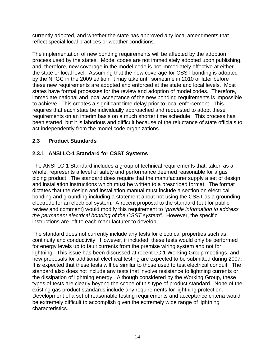currently adopted, and whether the state has approved any local amendments that reflect special local practices or weather conditions.

The implementation of new bonding requirements will be affected by the adoption process used by the states. Model codes are not immediately adopted upon publishing, and, therefore, new coverage in the model code is not immediately effective at either the state or local level. Assuming that the new coverage for CSST bonding is adopted by the NFGC in the 2009 edition, it may take until sometime in 2010 or later before these new requirements are adopted and enforced at the state and local levels. Most states have formal processes for the review and adoption of model codes. Therefore, immediate national and local acceptance of the new bonding requirements is impossible to achieve. This creates a significant time delay prior to local enforcement. This requires that each state be individually approached and requested to adopt these requirements on an interim basis on a much shorter time schedule. This process has been started, but it is laborious and difficult because of the reluctance of state officials to act independently from the model code organizations.

## **2.3 Product Standards**

# **2.3.1 ANSI LC-1 Standard for CSST Systems**

The ANSI LC-1 Standard includes a group of technical requirements that, taken as a whole, represents a level of safety and performance deemed reasonable for a gas piping product. The standard does require that the manufacturer supply a set of design and installation instructions which must be written to a prescribed format. The format dictates that the design and installation manual must include a section on electrical bonding and grounding including a statement about not using the CSST as a grounding electrode for an electrical system. A recent proposal to the standard (out for public review and comment) would modify this requirement to "*provide information to address the permanent electrical bonding of the CSST system".* However, the specific instructions are left to each manufacturer to develop.

The standard does not currently include any tests for electrical properties such as continuity and conductivity. However, if included, these tests would only be performed for energy levels up to fault currents from the premise wiring system and not for lightning. This issue has been discussed at recent LC-1 Working Group meetings, and new proposals for additional electrical testing are expected to be submitted during 2007. It is expected that these tests will be similar to those used to test electrical conduit. The standard also does not include any tests that involve resistance to lightning currents or the dissipation of lightning energy. Although considered by the Working Group, these types of tests are clearly beyond the scope of this type of product standard. None of the existing gas product standards include any requirements for lightning protection. Development of a set of reasonable testing requirements and acceptance criteria would be extremely difficult to accomplish given the extremely wide range of lightning characteristics.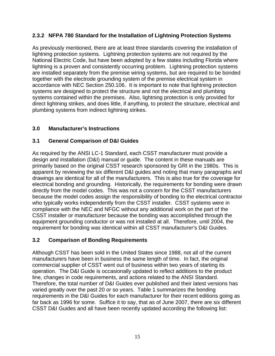## **2.3.2 NFPA 780 Standard for the Installation of Lightning Protection Systems**

As previously mentioned, there are at least three standards covering the installation of lightning protection systems. Lightning protection systems are not required by the National Electric Code, but have been adopted by a few states including Florida where lightning is a proven and consistently occurring problem. Lightning protection systems are installed separately from the premise wiring systems, but are required to be bonded together with the electrode grounding system of the premise electrical system in accordance with NEC Section 250.106. It is important to note that lightning protection systems are designed to protect the structure and not the electrical and plumbing systems contained within the premises. Also, lightning protection is only provided for direct lightning strikes, and does little, if anything, to protect the structure, electrical and plumbing systems from indirect lightning strikes.

## **3.0 Manufacturer's Instructions**

## **3.1 General Comparison of D&I Guides**

As required by the ANSI LC-1 Standard, each CSST manufacturer must provide a design and installation (D&I) manual or guide. The content in these manuals are primarily based on the original CSST research sponsored by GRI in the 1980s. This is apparent by reviewing the six different D&I guides and noting that many paragraphs and drawings are identical for all of the manufacturers. This is also true for the coverage for electrical bonding and grounding. Historically, the requirements for bonding were drawn directly from the model codes. This was not a concern for the CSST manufacturers because the model codes assign the responsibility of bonding to the electrical contractor who typically works independently from the CSST installer. CSST systems were in compliance with the NEC and NFGC without any additional work on the part of the CSST installer or manufacturer because the bonding was accomplished through the equipment grounding conductor or was not installed at all. Therefore, until 2004, the requirement for bonding was identical within all CSST manufacturer's D&I Guides.

## **3.2 Comparison of Bonding Requirements**

Although CSST has been sold in the United States since 1988, not all of the current manufacturers have been in business the same length of time. In fact, the original commercial supplier of CSST went out of business within two years of starting its operation. The D&I Guide is occasionally updated to reflect additions to the product line, changes in code requirements, and actions related to the ANSI Standard. Therefore, the total number of D&I Guides ever published and their latest versions has varied greatly over the past 20 or so years. Table 1 summarizes the bonding requirements in the D&I Guides for each manufacturer for their recent editions going as far back as 1996 for some. Suffice it to say, that as of June 2007, there are six different CSST D&I Guides and all have been recently updated according the following list: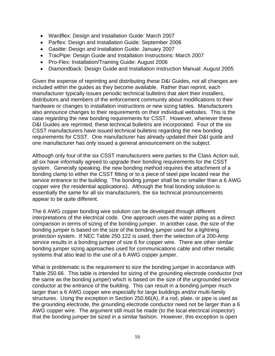- Wardflex: Design and Installation Guide: March 2007
- Parflex: Design and Installation Guide: September 2006
- Gastite: Design and Installation Guide: January 2007
- TracPipe: Design Guide and Installation Instructions: March 2007
- Pro-Flex: Installation/Training Guide: August 2006
- Diamondback: Design Guide and Installation Instruction Manual: August 2005

Given the expense of reprinting and distributing these D&I Guides, not all changes are included within the guides as they become available. Rather than reprint, each manufacturer typically issues periodic technical bulletins that alert their installers, distributors and members of the enforcement community about modifications to their hardware or changes to installation instructions or new sizing tables. Manufacturers also announce changes to their requirements on their individual websites. This is the case regarding the new bonding requirements for CSST. However, whenever these D&I Guides are reprinted, these technical bulletins are incorporated. Four of the six CSST manufacturers have issued technical bulletins regarding the new bonding requirements for CSST. One manufacturer has already updated their D&I guide and one manufacturer has only issued a general announcement on the subject.

Although only four of the six CSST manufacturers were parties to the Class Action suit, all six have informally agreed to upgrade their bonding requirements for the CSST system. Generally speaking, the new bonding method requires the attachment of a bonding clamp to either the CSST fitting or to a piece of steel pipe located near the service entrance to the building. The bonding jumper shall be no smaller than a 6 AWG copper wire (for residential applications). Although the final bonding solution is essentially the same for all six manufacturers, the six technical pronouncements appear to be quite different.

The 6 AWG copper bonding wire solution can be developed through different interpretations of the electrical code. One approach uses the water piping as a direct comparison in terms of sizing of the bonding jumper. In another case, the size of the bonding jumper is based on the size of the bonding jumper used for a lightning protection system. If NEC Table 250.122 is used, then the selection of a 200-Amp service results in a bonding jumper of size 6 for copper wire. There are other similar bonding jumper sizing approaches used for communications cable and other metallic systems that also lead to the use of a 6 AWG copper jumper.

What is problematic is the requirement to size the bonding jumper in accordance with Table 250.66. This table is intended for sizing of the grounding electrode conductor (not the same as the bonding jumper) which is based on the size of the ungrounded service conductor at the entrance of the building. This can result in a bonding jumper much larger than a 6 AWG copper wire especially for large buildings and/or multi-family structures. Using the exception in Section 250.66(A), if a rod, plate, or pipe is used as the grounding electrode, the grounding electrode conductor need not be larger than a 6 AWG copper wire. The argument still must be made (to the local electrical inspector) that the bonding jumper be sized in a similar fashion. However, this exception is open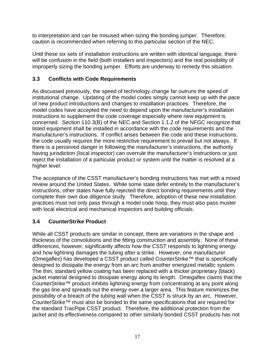to interpretation and can be misused when sizing the bonding jumper. Therefore, caution is recommended when referring to this particular section of the NEC.

Until these six sets of installation instructions are written with identical language, there will be confusion in the field (both installers and inspectors) and the real possibility of improperly sizing the bonding jumper. Efforts are underway to remedy this situation.

## **3.3 Conflicts with Code Requirements**

As discussed previously, the speed of technology change far outruns the speed of institutional change. Updating of the model codes simply cannot keep up with the pace of new product introductions and changes to installation practices. Therefore, the model codes have accepted the need to depend upon the manufacturer's installation instructions to supplement the code coverage especially where new equipment is concerned. Section 110.3(B) of the NEC and Section 1.1.2 of the NFGC recognize that listed equipment shall be installed in accordance with the code requirements and the manufacturer's instructions. If conflict arises between the code and these instructions, the code usually requires the more restrictive requirement to prevail but not always. If there is a perceived danger in following the manufacturer's instructions, the authority having jurisdiction (local inspector) can overrule the manufacturer's instructions or just reject the installation of a particular product or system until the matter is resolved at a higher level.

The acceptance of the CSST manufacturer's bonding instructions has met with a mixed review around the United States. While some state defer entirely to the manufacturer's instructions, other states have fully rejected the direct bonding requirements until they complete their own due diligence study. Therefore, adoption of these new installation practices must not only pass through a model code hoop, they must also pass muster with local electrical and mechanical inspectors and building officials.

# **3.4 CounterStrike Product**

While all CSST products are similar in concept, there are variations in the shape and thickness of the convolutions and the fitting construction and assembly. None of these differences, however, significantly affects how the CSST responds to lightning energy and how lightning damages the tubing after a strike. However, one manufacturer (Omegaflex) has developed a CSST product called CounterStrike™ that is specifically designed to dissipate the energy from an arc from another energized metallic system. The thin, standard yellow coating has been replaced with a thicker proprietary (black) jacket material designed to dissipate energy along its length. Omegaflex claims that the CounterStrike™ product inhibits lightning energy from concentrating at any point along the gas line and spreads out the energy over a larger area. This feature minimizes the possibility of a breach of the tubing wall when the CSST is struck by an arc. However, CounterStrike™ must also be bonded to the same specifications that are required for the standard TracPipe CSST product. Therefore, the additional protection from the jacket and its effectiveness compared to other similarly bonded CSST products has not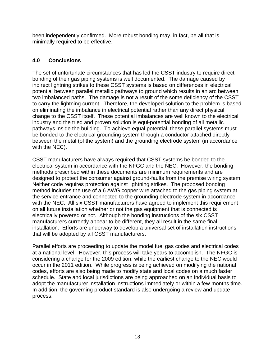been independently confirmed. More robust bonding may, in fact, be all that is minimally required to be effective.

# **4.0 Conclusions**

The set of unfortunate circumstances that has led the CSST industry to require direct bonding of their gas piping systems is well documented. The damage caused by indirect lightning strikes to these CSST systems is based on differences in electrical potential between parallel metallic pathways to ground which results in an arc between two imbalanced paths. The damage is not a result of the some deficiency of the CSST to carry the lightning current. Therefore, the developed solution to the problem is based on eliminating the imbalance in electrical potential rather than any direct physical change to the CSST itself. These potential imbalances are well known to the electrical industry and the tried and proven solution is equi-potential bonding of all metallic pathways inside the building. To achieve equal potential, these parallel systems must be bonded to the electrical grounding system through a conductor attached directly between the metal (of the system) and the grounding electrode system (in accordance with the NEC).

CSST manufacturers have always required that CSST systems be bonded to the electrical system in accordance with the NFGC and the NEC. However, the bonding methods prescribed within these documents are minimum requirements and are designed to protect the consumer against ground-faults from the premise wiring system. Neither code requires protection against lightning strikes. The proposed bonding method includes the use of a 6 AWG copper wire attached to the gas piping system at the service entrance and connected to the grounding electrode system in accordance with the NEC. All six CSST manufacturers have agreed to implement this requirement on all future installation whether or not the gas equipment that is connected is electrically powered or not. Although the bonding instructions of the six CSST manufacturers currently appear to be different, they all result in the same final installation. Efforts are underway to develop a universal set of installation instructions that will be adopted by all CSST manufacturers.

Parallel efforts are proceeding to update the model fuel gas codes and electrical codes at a national level. However, this process will take years to accomplish. The NFGC is considering a change for the 2009 edition, while the earliest change to the NEC would occur in the 2011 edition. While progress is being achieved on modifying the national codes, efforts are also being made to modify state and local codes on a much faster schedule. State and local jurisdictions are being approached on an individual basis to adopt the manufacturer installation instructions immediately or within a few months time. In addition, the governing product standard is also undergoing a review and update process.